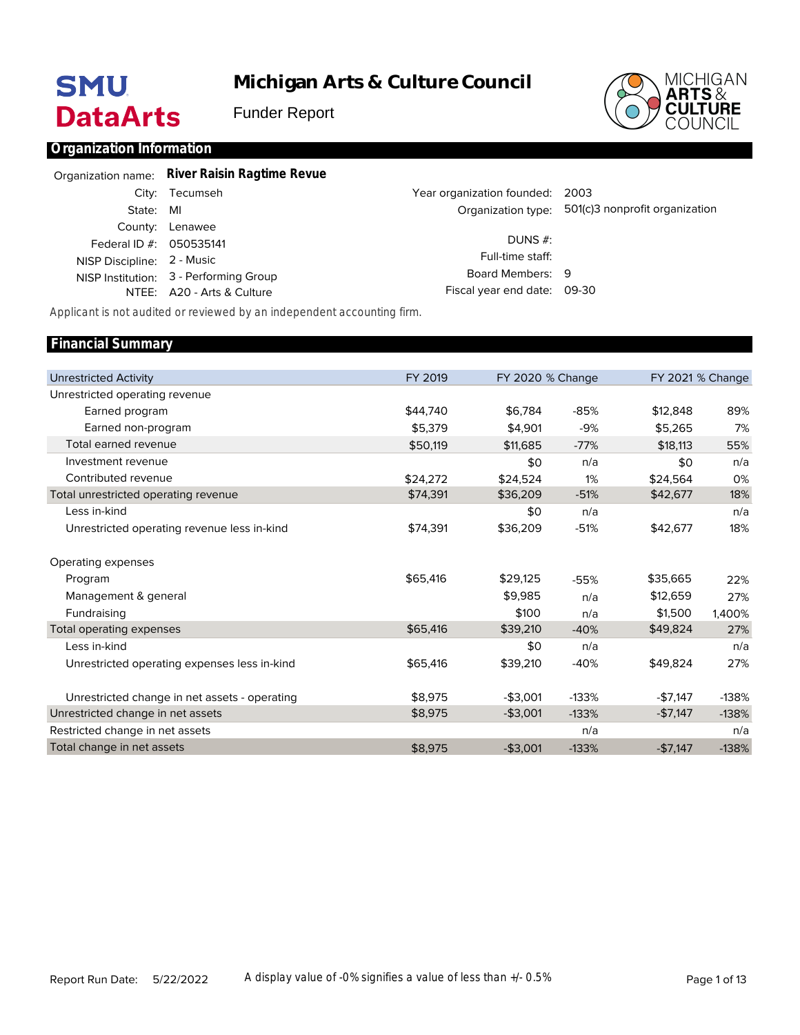# **SMU DataArts**

**Michigan Arts & Culture Council**

Funder Report



### **Organization Information**

|                            | Organization name: River Raisin Ragtime Revue |                                 |                                                   |
|----------------------------|-----------------------------------------------|---------------------------------|---------------------------------------------------|
|                            | City: Tecumseh                                | Year organization founded: 2003 |                                                   |
| State: MI                  |                                               |                                 | Organization type: 501(c)3 nonprofit organization |
|                            | County: Lenawee                               |                                 |                                                   |
| Federal ID #: 050535141    |                                               | DUNS $#$ :                      |                                                   |
| NISP Discipline: 2 - Music |                                               | Full-time staff:                |                                                   |
|                            | NISP Institution: 3 - Performing Group        | Board Members: 9                |                                                   |
|                            | NTEE: A20 - Arts & Culture                    | Fiscal year end date: 09-30     |                                                   |

*Applicant is not audited or reviewed by an independent accounting firm.*

#### Unrestricted Activity Unrestricted operating revenue Earned program Earned non-program Total earned revenue Investment revenue Contributed revenue Total unrestricted operating revenue Less in-kind Unrestricted operating revenue less in-kind Operating expenses Program Management & general Fundraising Total operating expenses Less in-kind Unrestricted operating expenses less in-kind Unrestricted change in net assets - operating Unrestricted change in net assets Restricted change in net assets Total change in net assets FY 2019 \$44,740 \$5,379 \$50,119 \$24,272 \$74,391 \$74,391 \$65,416 \$65,416 \$65,416 \$8,975 \$8,975 \$8,975 FY 2020 % Change \$6,784 \$4,901 \$11,685 \$0 \$24,524 \$36,209 \$0 \$36,209 \$29,125 \$9,985 \$100 \$39,210 \$0 \$39,210 -\$3,001 -\$3,001 -\$3,001 -85% -9% -77% n/a 1% -51% n/a -51% -55% n/a n/a -40% n/a -40% -133% -133% n/a -133% FY 2021 % Change \$12,848 \$5,265 \$18,113 \$0 \$24,564 \$42,677 \$42,677 \$35,665 \$12,659 \$1,500 \$49,824 \$49,824 -\$7,147 -\$7,147 -\$7,147 89% 7% 55% n/a 0% 18% n/a 18% 22% 27% 1,400% 27% n/a 27% -138% -138% n/a -138% **Financial Summary**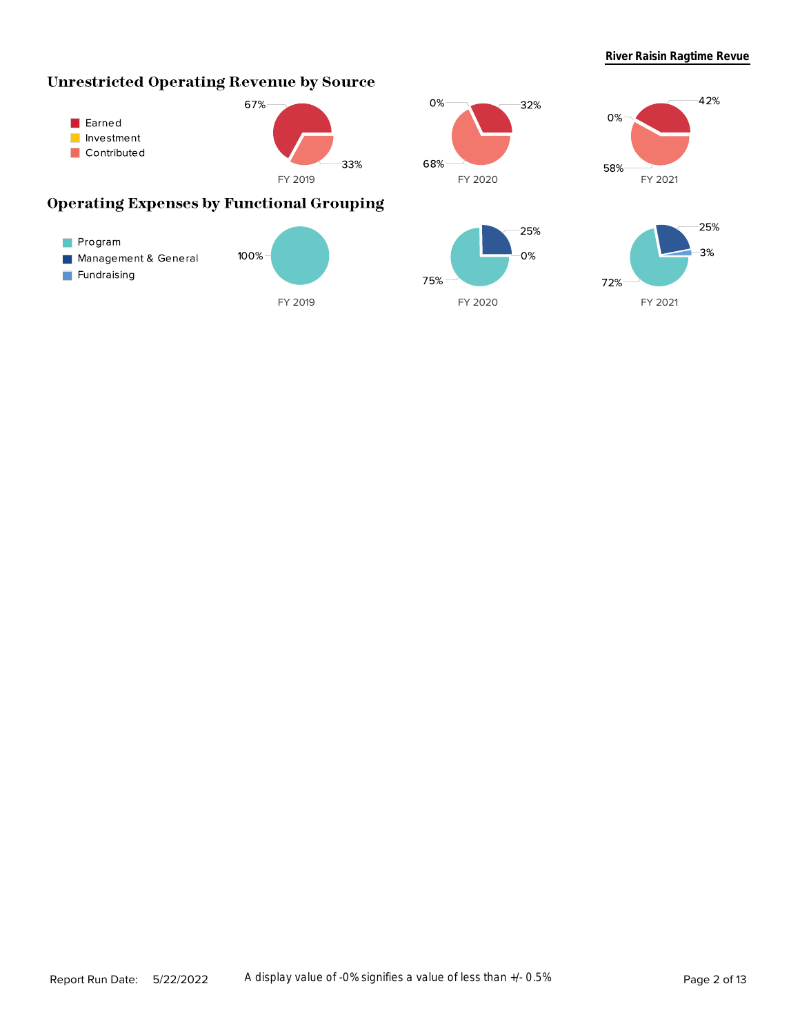42%

# **Unrestricted Operating Revenue by Source**







# **Operating Expenses by Functional Grouping**

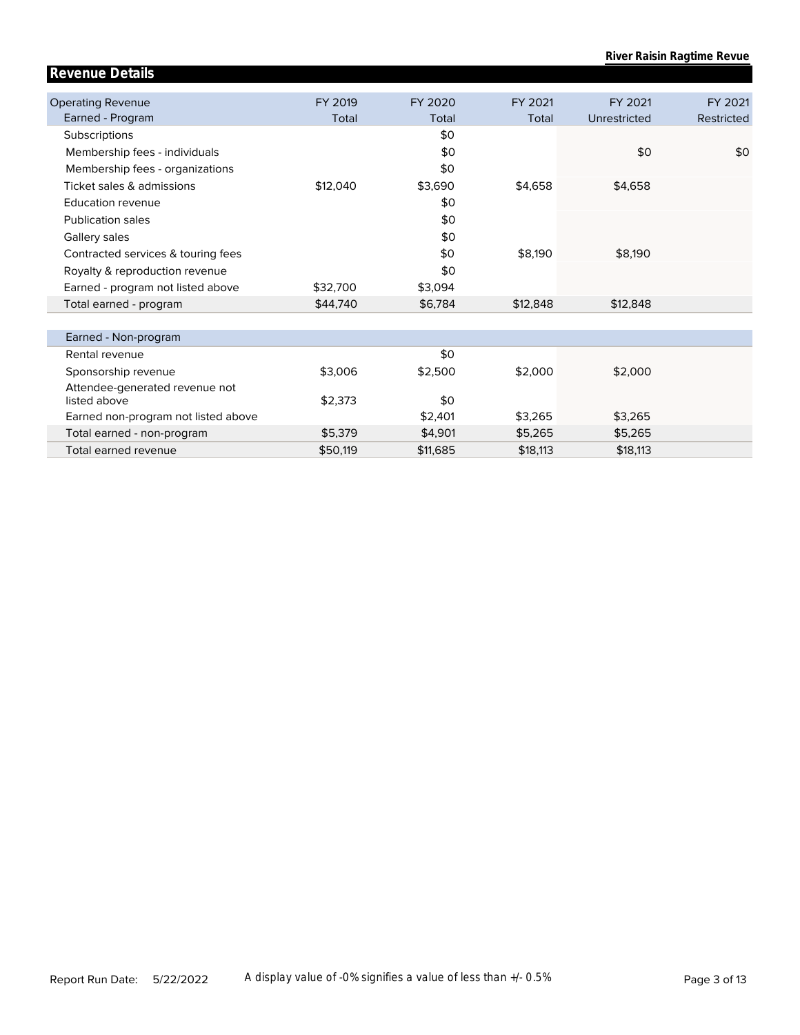| <b>Revenue Details</b>                         |          |          |          |              |            |
|------------------------------------------------|----------|----------|----------|--------------|------------|
|                                                |          |          |          |              |            |
| <b>Operating Revenue</b>                       | FY 2019  | FY 2020  | FY 2021  | FY 2021      | FY 2021    |
| Earned - Program                               | Total    | Total    | Total    | Unrestricted | Restricted |
| Subscriptions                                  |          | \$0      |          |              |            |
| Membership fees - individuals                  |          | \$0      |          | \$0          | \$0        |
| Membership fees - organizations                |          | \$0      |          |              |            |
| Ticket sales & admissions                      | \$12,040 | \$3,690  | \$4,658  | \$4,658      |            |
| Education revenue                              |          | \$0      |          |              |            |
| <b>Publication sales</b>                       |          | \$0      |          |              |            |
| Gallery sales                                  |          | \$0      |          |              |            |
| Contracted services & touring fees             |          | \$0      | \$8,190  | \$8,190      |            |
| Royalty & reproduction revenue                 |          | \$0      |          |              |            |
| Earned - program not listed above              | \$32,700 | \$3,094  |          |              |            |
| Total earned - program                         | \$44,740 | \$6,784  | \$12,848 | \$12,848     |            |
|                                                |          |          |          |              |            |
| Earned - Non-program                           |          |          |          |              |            |
| Rental revenue                                 |          | \$0      |          |              |            |
| Sponsorship revenue                            | \$3,006  | \$2,500  | \$2,000  | \$2,000      |            |
| Attendee-generated revenue not<br>listed above | \$2,373  | \$0      |          |              |            |
|                                                |          |          |          |              |            |
| Earned non-program not listed above            |          | \$2,401  | \$3,265  | \$3,265      |            |
| Total earned - non-program                     | \$5,379  | \$4,901  | \$5,265  | \$5,265      |            |
| Total earned revenue                           | \$50.119 | \$11,685 | \$18,113 | \$18,113     |            |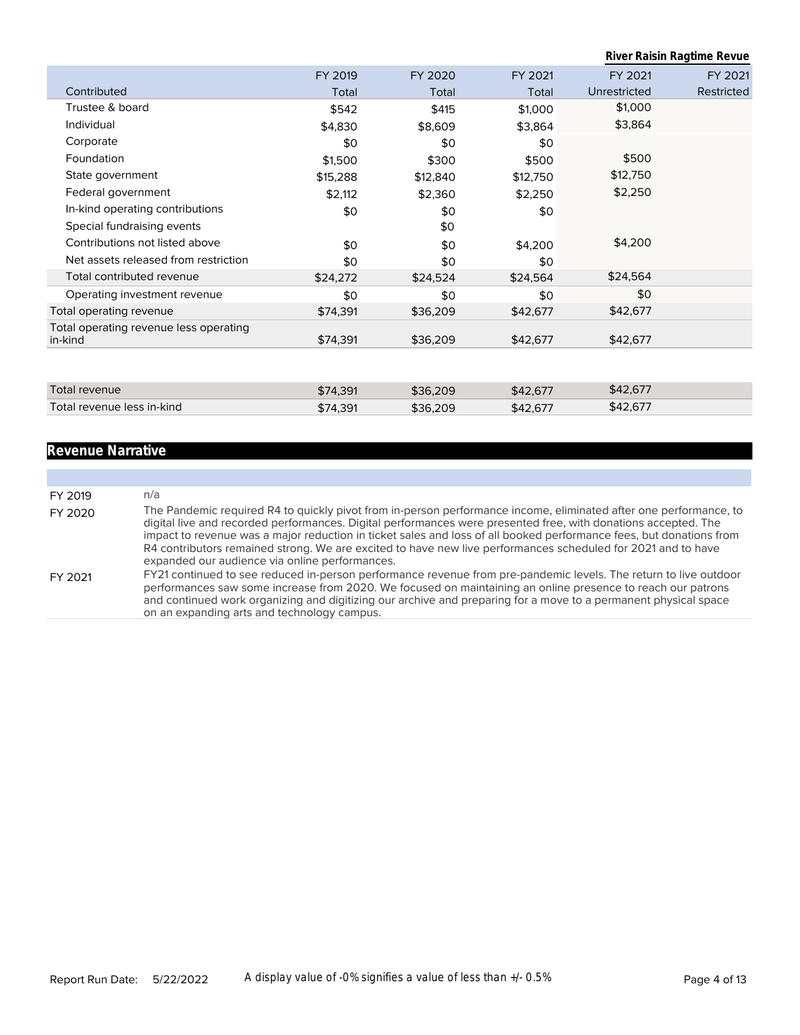|                                                   |          |          |          |              | River Raisin Ragtime Revue |
|---------------------------------------------------|----------|----------|----------|--------------|----------------------------|
|                                                   | FY 2019  | FY 2020  | FY 2021  | FY 2021      | FY 2021                    |
| Contributed                                       | Total    | Total    | Total    | Unrestricted | Restricted                 |
| Trustee & board                                   | \$542    | \$415    | \$1,000  | \$1,000      |                            |
| Individual                                        | \$4,830  | \$8,609  | \$3,864  | \$3,864      |                            |
| Corporate                                         | \$0      | \$0      | \$0      |              |                            |
| Foundation                                        | \$1,500  | \$300    | \$500    | \$500        |                            |
| State government                                  | \$15,288 | \$12,840 | \$12,750 | \$12,750     |                            |
| Federal government                                | \$2,112  | \$2,360  | \$2,250  | \$2,250      |                            |
| In-kind operating contributions                   | \$0      | \$0      | \$0      |              |                            |
| Special fundraising events                        |          | \$0      |          |              |                            |
| Contributions not listed above                    | \$0      | \$0      | \$4,200  | \$4,200      |                            |
| Net assets released from restriction              | \$0      | \$0      | \$0      |              |                            |
| Total contributed revenue                         | \$24,272 | \$24,524 | \$24,564 | \$24,564     |                            |
| Operating investment revenue                      | \$0      | \$0      | \$0      | \$0          |                            |
| Total operating revenue                           | \$74,391 | \$36,209 | \$42,677 | \$42,677     |                            |
| Total operating revenue less operating<br>in-kind | \$74,391 | \$36,209 | \$42,677 | \$42,677     |                            |
|                                                   |          |          |          |              |                            |
| Total revenue                                     | \$74,391 | \$36,209 | \$42,677 | \$42,677     |                            |
| Total revenue less in-kind                        | \$74,391 | \$36,209 | \$42,677 | \$42,677     |                            |

# **Revenue Narrative**

| FY 2019 | n/a                                                                                                                                                                                                                                                                                                                                                                                                                                                                                                                          |
|---------|------------------------------------------------------------------------------------------------------------------------------------------------------------------------------------------------------------------------------------------------------------------------------------------------------------------------------------------------------------------------------------------------------------------------------------------------------------------------------------------------------------------------------|
| FY 2020 | The Pandemic required R4 to quickly pivot from in-person performance income, eliminated after one performance, to<br>digital live and recorded performances. Digital performances were presented free, with donations accepted. The<br>impact to revenue was a major reduction in ticket sales and loss of all booked performance fees, but donations from<br>R4 contributors remained strong. We are excited to have new live performances scheduled for 2021 and to have<br>expanded our audience via online performances. |
| FY 2021 | FY21 continued to see reduced in-person performance revenue from pre-pandemic levels. The return to live outdoor<br>performances saw some increase from 2020. We focused on maintaining an online presence to reach our patrons<br>and continued work organizing and digitizing our archive and preparing for a move to a permanent physical space<br>on an expanding arts and technology campus.                                                                                                                            |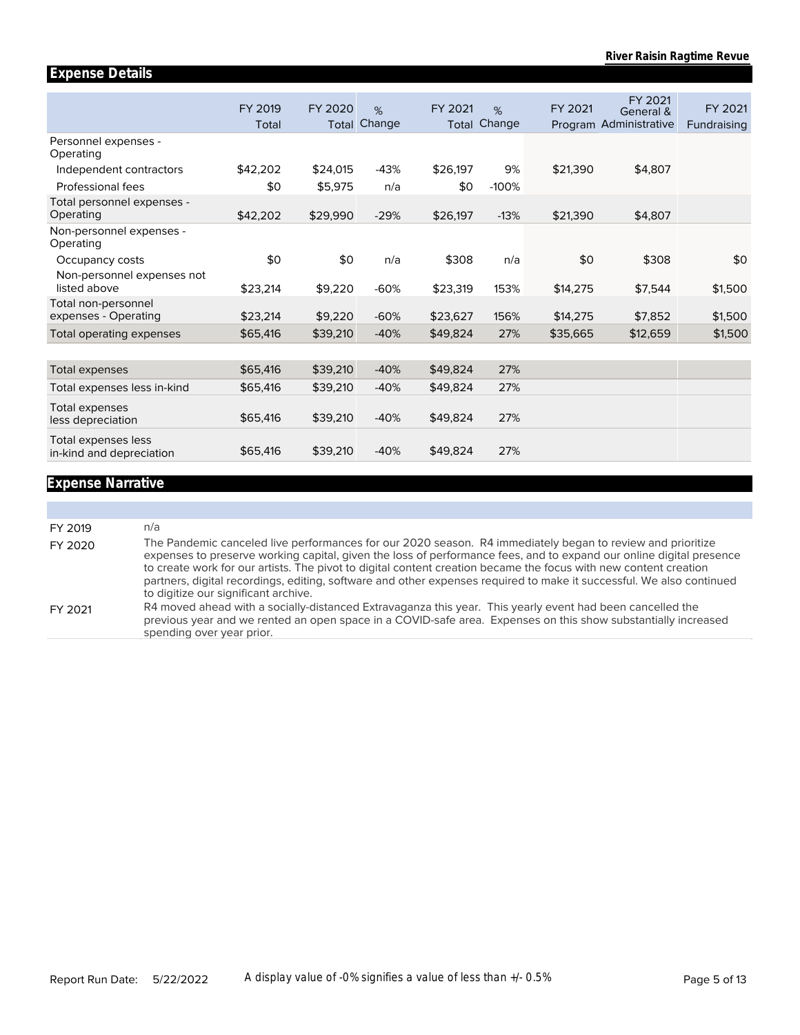#### Personnel expenses - Operating Independent contractors Professional fees Total personnel expenses - Operating Non-personnel expenses - Operating Occupancy costs Non-personnel expenses not listed above Total non-personnel expenses - Operating Total operating expenses Total expenses Total expenses less in-kind Total expenses less depreciation Total expenses less in-kind and depreciation FY 2019 Total \$42,202 \$0 \$42,202 \$0 \$23,214 \$23,214 \$65,416 \$65,416 \$65,416 \$65,416 \$65,416 FY 2020 Total Change \$24,015 \$5,975 \$29,990 \$0 \$9,220 \$9,220 \$39,210 \$39,210 \$39,210 \$39,210 \$39,210 % -43% n/a -29% n/a -60% -60% -40% -40% -40% -40% -40% FY 2021 Total Change \$26,197 \$0 \$26,197 \$308 \$23,319 \$23,627 \$49,824 \$49,824 \$49,824 \$49,824 \$49,824 % 9% -100% -13% n/a 153% 156% 27% 27% 27% 27% 27% Program Administrative FY 2021 \$21,390 \$21,390 \$0 \$14,275 \$14,275 \$35,665 General & FY 2021 \$4,807 \$4,807 \$308 \$7,544 \$7,852 \$12,659 Fundraising FY 2021 \$0 \$1,500 \$1,500 \$1,500

#### **Expense Narrative**

**Expense Details**

| FY 2019 | n/a                                                                                                                                                                                                                                                                                                                                                                                                                                                                                                                   |
|---------|-----------------------------------------------------------------------------------------------------------------------------------------------------------------------------------------------------------------------------------------------------------------------------------------------------------------------------------------------------------------------------------------------------------------------------------------------------------------------------------------------------------------------|
| FY 2020 | The Pandemic canceled live performances for our 2020 season. R4 immediately began to review and prioritize<br>expenses to preserve working capital, given the loss of performance fees, and to expand our online digital presence<br>to create work for our artists. The pivot to digital content creation became the focus with new content creation<br>partners, digital recordings, editing, software and other expenses required to make it successful. We also continued<br>to digitize our significant archive. |
| FY 2021 | R4 moved ahead with a socially-distanced Extravaganza this year. This yearly event had been cancelled the<br>previous year and we rented an open space in a COVID-safe area. Expenses on this show substantially increased<br>spending over year prior.                                                                                                                                                                                                                                                               |
|         |                                                                                                                                                                                                                                                                                                                                                                                                                                                                                                                       |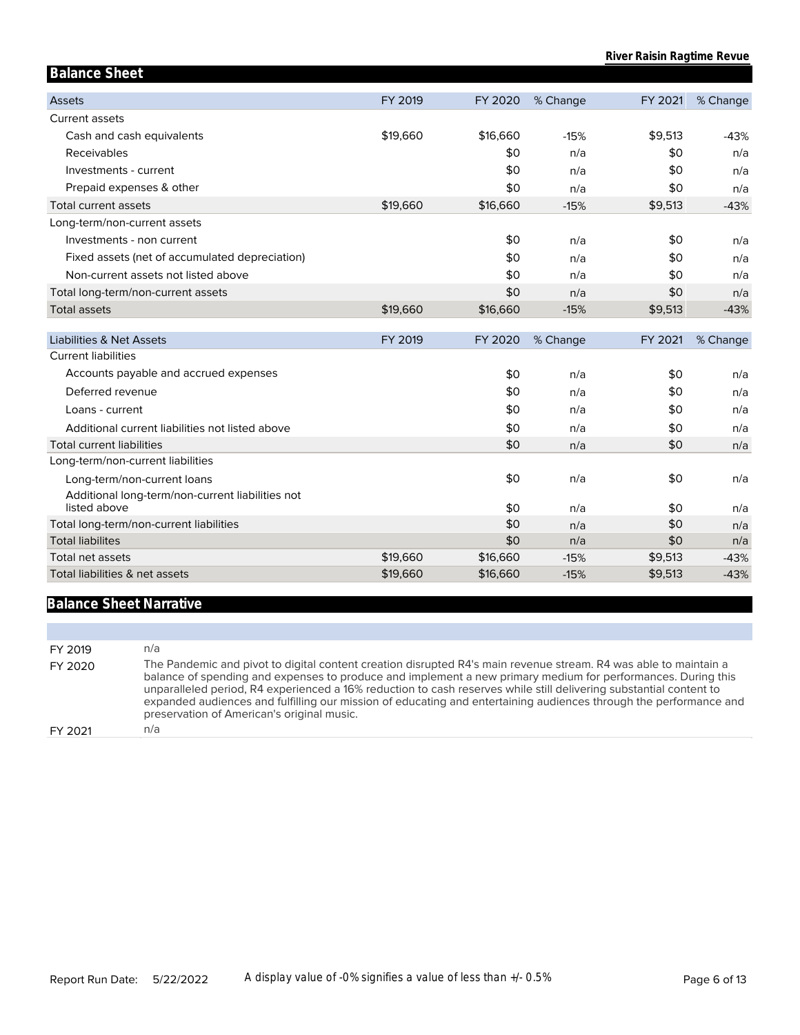| <b>Balance Sheet</b>                                             |          |          |          |         |          |
|------------------------------------------------------------------|----------|----------|----------|---------|----------|
| <b>Assets</b>                                                    | FY 2019  | FY 2020  | % Change | FY 2021 | % Change |
| Current assets                                                   |          |          |          |         |          |
| Cash and cash equivalents                                        | \$19,660 | \$16,660 | $-15%$   | \$9,513 | $-43%$   |
| Receivables                                                      |          | \$0      | n/a      | \$0     | n/a      |
| Investments - current                                            |          | \$0      | n/a      | \$0     | n/a      |
| Prepaid expenses & other                                         |          | \$0      | n/a      | \$0     | n/a      |
| Total current assets                                             | \$19,660 | \$16,660 | $-15%$   | \$9,513 | $-43%$   |
| Long-term/non-current assets                                     |          |          |          |         |          |
| Investments - non current                                        |          | \$0      | n/a      | \$0     | n/a      |
| Fixed assets (net of accumulated depreciation)                   |          | \$0      | n/a      | \$0     | n/a      |
| Non-current assets not listed above                              |          | \$0      | n/a      | \$0     | n/a      |
| Total long-term/non-current assets                               |          | \$0      | n/a      | \$0     | n/a      |
| <b>Total assets</b>                                              | \$19,660 | \$16,660 | $-15%$   | \$9,513 | $-43%$   |
| <b>Liabilities &amp; Net Assets</b>                              | FY 2019  | FY 2020  | % Change | FY 2021 | % Change |
| <b>Current liabilities</b>                                       |          |          |          |         |          |
|                                                                  |          |          |          |         |          |
| Accounts payable and accrued expenses                            |          | \$0      | n/a      | \$0     | n/a      |
| Deferred revenue                                                 |          | \$0      | n/a      | \$0     | n/a      |
| Loans - current                                                  |          | \$0      | n/a      | \$0     | n/a      |
| Additional current liabilities not listed above                  |          | \$0      | n/a      | \$0     | n/a      |
| <b>Total current liabilities</b>                                 |          | \$0      | n/a      | \$0     | n/a      |
| Long-term/non-current liabilities                                |          |          |          |         |          |
| Long-term/non-current loans                                      |          | \$0      | n/a      | \$0     | n/a      |
| Additional long-term/non-current liabilities not<br>listed above |          | \$0      | n/a      | \$0     | n/a      |
| Total long-term/non-current liabilities                          |          | \$0      | n/a      | \$0     | n/a      |
| <b>Total liabilites</b>                                          |          | \$0      | n/a      | \$0     | n/a      |
| <b>Total net assets</b>                                          | \$19,660 | \$16,660 | $-15%$   | \$9,513 | $-43%$   |

## **Balance Sheet Narrative**

| FY 2019 | n/a                                                                                                                                                                                                                                                                                                                                                                                                                                                                                                                       |
|---------|---------------------------------------------------------------------------------------------------------------------------------------------------------------------------------------------------------------------------------------------------------------------------------------------------------------------------------------------------------------------------------------------------------------------------------------------------------------------------------------------------------------------------|
| FY 2020 | The Pandemic and pivot to digital content creation disrupted R4's main revenue stream. R4 was able to maintain a<br>balance of spending and expenses to produce and implement a new primary medium for performances. During this<br>unparalleled period, R4 experienced a 16% reduction to cash reserves while still delivering substantial content to<br>expanded audiences and fulfilling our mission of educating and entertaining audiences through the performance and<br>preservation of American's original music. |
| FY 2021 | n/a                                                                                                                                                                                                                                                                                                                                                                                                                                                                                                                       |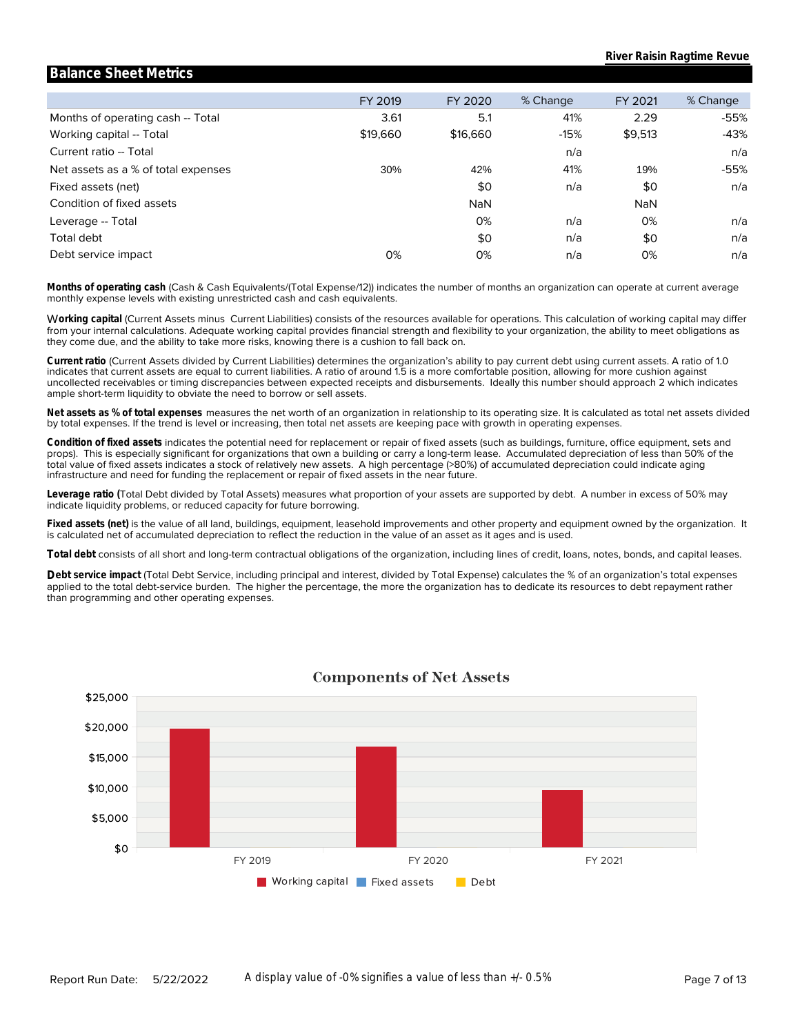|                                     | FY 2019  | FY 2020    | % Change | FY 2021    | % Change |
|-------------------------------------|----------|------------|----------|------------|----------|
| Months of operating cash -- Total   | 3.61     | 5.1        | 41%      | 2.29       | -55%     |
| Working capital -- Total            | \$19,660 | \$16,660   | $-15%$   | \$9,513    | $-43%$   |
| Current ratio -- Total              |          |            | n/a      |            | n/a      |
| Net assets as a % of total expenses | 30%      | 42%        | 41%      | 19%        | -55%     |
| Fixed assets (net)                  |          | \$0        | n/a      | \$0        | n/a      |
| Condition of fixed assets           |          | <b>NaN</b> |          | <b>NaN</b> |          |
| Leverage -- Total                   |          | 0%         | n/a      | 0%         | n/a      |
| Total debt                          |          | \$0        | n/a      | \$0        | n/a      |
| Debt service impact                 | 0%       | 0%         | n/a      | 0%         | n/a      |

**Balance Sheet Metrics**

monthly expense levels with existing unrestricted cash and cash equivalents. **Months of operating cash** (Cash & Cash Equivalents/(Total Expense/12)) indicates the number of months an organization can operate at current average

they come due, and the ability to take more risks, knowing there is a cushion to fall back on. from your internal calculations. Adequate working capital provides financial strength and flexibility to your organization, the ability to meet obligations as W**orking capital** (Current Assets minus Current Liabilities) consists of the resources available for operations. This calculation of working capital may differ

ample short-term liquidity to obviate the need to borrow or sell assets. uncollected receivables or timing discrepancies between expected receipts and disbursements. Ideally this number should approach 2 which indicates indicates that current assets are equal to current liabilities. A ratio of around 1.5 is a more comfortable position, allowing for more cushion against **Current ratio** (Current Assets divided by Current Liabilities) determines the organization's ability to pay current debt using current assets. A ratio of 1.0

by total expenses. If the trend is level or increasing, then total net assets are keeping pace with growth in operating expenses. **Net assets as % of total expenses** measures the net worth of an organization in relationship to its operating size. It is calculated as total net assets divided

infrastructure and need for funding the replacement or repair of fixed assets in the near future. total value of fixed assets indicates a stock of relatively new assets. A high percentage (>80%) of accumulated depreciation could indicate aging props). This is especially significant for organizations that own a building or carry a long-term lease. Accumulated depreciation of less than 50% of the **Condition of fixed assets** indicates the potential need for replacement or repair of fixed assets (such as buildings, furniture, office equipment, sets and

indicate liquidity problems, or reduced capacity for future borrowing. **Leverage ratio (**Total Debt divided by Total Assets) measures what proportion of your assets are supported by debt. A number in excess of 50% may

is calculated net of accumulated depreciation to reflect the reduction in the value of an asset as it ages and is used. **Fixed assets (net)** is the value of all land, buildings, equipment, leasehold improvements and other property and equipment owned by the organization. It

**Total debt** consists of all short and long-term contractual obligations of the organization, including lines of credit, loans, notes, bonds, and capital leases.

than programming and other operating expenses. applied to the total debt-service burden. The higher the percentage, the more the organization has to dedicate its resources to debt repayment rather **Debt service impact** (Total Debt Service, including principal and interest, divided by Total Expense) calculates the % of an organization's total expenses



### **Components of Net Assets**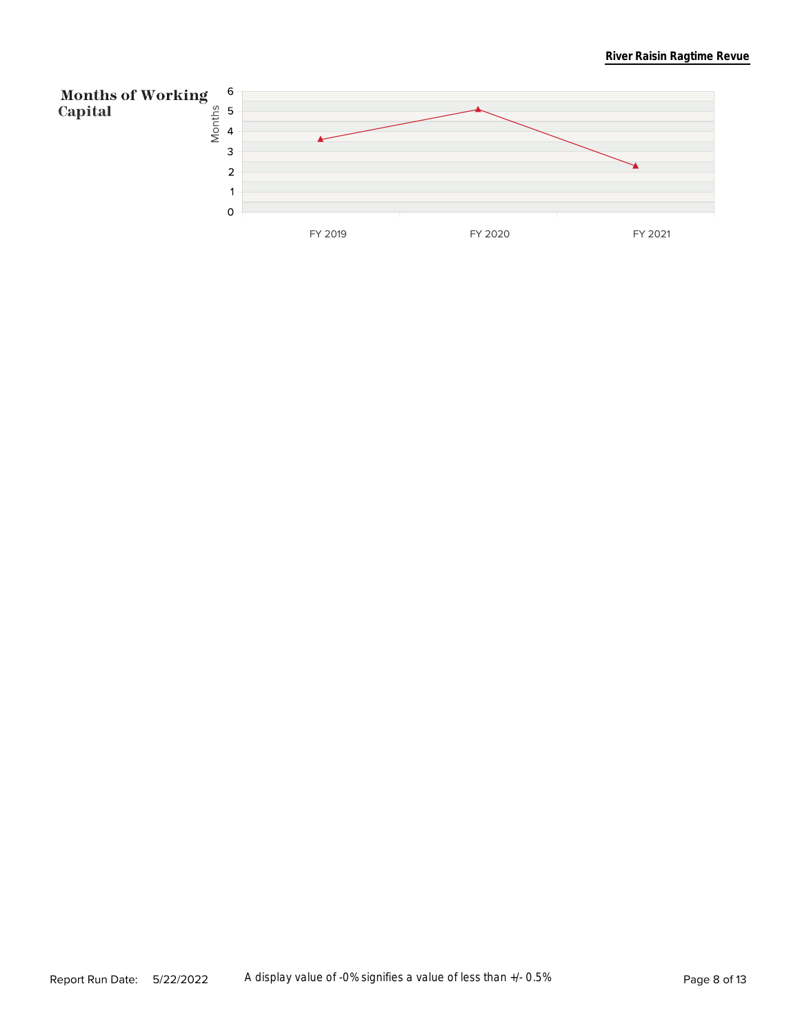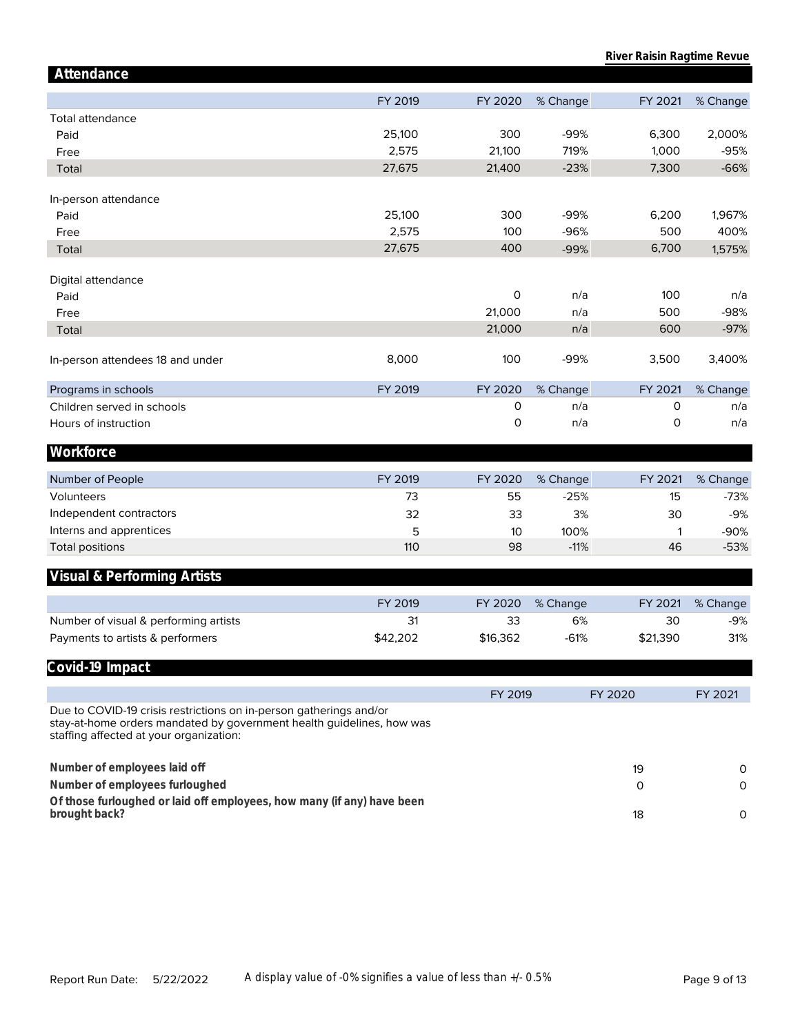| Attendance                                                                                                                                                                             |          |          |          |          |          |
|----------------------------------------------------------------------------------------------------------------------------------------------------------------------------------------|----------|----------|----------|----------|----------|
|                                                                                                                                                                                        | FY 2019  | FY 2020  | % Change | FY 2021  | % Change |
| <b>Total attendance</b>                                                                                                                                                                |          |          |          |          |          |
| Paid                                                                                                                                                                                   | 25,100   | 300      | $-99%$   | 6,300    | 2,000%   |
| Free                                                                                                                                                                                   | 2,575    | 21,100   | 719%     | 1,000    | $-95%$   |
| Total                                                                                                                                                                                  | 27,675   | 21,400   | $-23%$   | 7,300    | $-66%$   |
|                                                                                                                                                                                        |          |          |          |          |          |
| In-person attendance                                                                                                                                                                   |          |          |          |          |          |
| Paid                                                                                                                                                                                   | 25,100   | 300      | -99%     | 6,200    | 1,967%   |
| Free                                                                                                                                                                                   | 2,575    | 100      | $-96%$   | 500      | 400%     |
| Total                                                                                                                                                                                  | 27,675   | 400      | $-99%$   | 6,700    | 1,575%   |
|                                                                                                                                                                                        |          |          |          |          |          |
| Digital attendance                                                                                                                                                                     |          |          |          |          |          |
| Paid                                                                                                                                                                                   |          | 0        | n/a      | 100      | n/a      |
| Free                                                                                                                                                                                   |          | 21,000   | n/a      | 500      | $-98%$   |
| Total                                                                                                                                                                                  |          | 21,000   | n/a      | 600      | $-97%$   |
| In-person attendees 18 and under                                                                                                                                                       | 8,000    | 100      | $-99%$   | 3,500    | 3,400%   |
|                                                                                                                                                                                        |          |          |          |          |          |
| Programs in schools                                                                                                                                                                    | FY 2019  | FY 2020  | % Change | FY 2021  | % Change |
| Children served in schools                                                                                                                                                             |          | 0        | n/a      | 0        | n/a      |
| Hours of instruction                                                                                                                                                                   |          | 0        | n/a      | 0        | n/a      |
| Workforce                                                                                                                                                                              |          |          |          |          |          |
|                                                                                                                                                                                        |          |          |          |          |          |
| Number of People                                                                                                                                                                       | FY 2019  | FY 2020  | % Change | FY 2021  | % Change |
| Volunteers                                                                                                                                                                             | 73       | 55       | $-25%$   | 15       | $-73%$   |
| Independent contractors                                                                                                                                                                | 32       | 33       | 3%       | 30       | $-9%$    |
| Interns and apprentices                                                                                                                                                                | 5        | 10       | 100%     | 1        | $-90%$   |
| <b>Total positions</b>                                                                                                                                                                 | 110      | 98       | $-11%$   | 46       | $-53%$   |
| Visual & Performing Artists                                                                                                                                                            |          |          |          |          |          |
|                                                                                                                                                                                        |          |          |          |          |          |
|                                                                                                                                                                                        | FY 2019  | FY 2020  | % Change | FY 2021  | % Change |
| Number of visual & performing artists                                                                                                                                                  | 31       | 33       | 6%       | 30       | $-9%$    |
| Payments to artists & performers                                                                                                                                                       | \$42,202 | \$16,362 | $-61%$   | \$21,390 | 31%      |
| Covid-19 Impact                                                                                                                                                                        |          |          |          |          |          |
|                                                                                                                                                                                        |          |          |          |          |          |
|                                                                                                                                                                                        |          | FY 2019  |          | FY 2020  | FY 2021  |
| Due to COVID-19 crisis restrictions on in-person gatherings and/or<br>stay-at-home orders mandated by government health guidelines, how was<br>staffing affected at your organization: |          |          |          |          |          |
| Number of employees laid off                                                                                                                                                           |          |          |          | 19       | 0        |
| Number of employees furloughed                                                                                                                                                         |          |          |          | 0        | 0        |
| Of those furloughed or laid off employees, how many (if any) have been                                                                                                                 |          |          |          |          |          |
| brought back?                                                                                                                                                                          |          |          |          | 18       | $\circ$  |
|                                                                                                                                                                                        |          |          |          |          |          |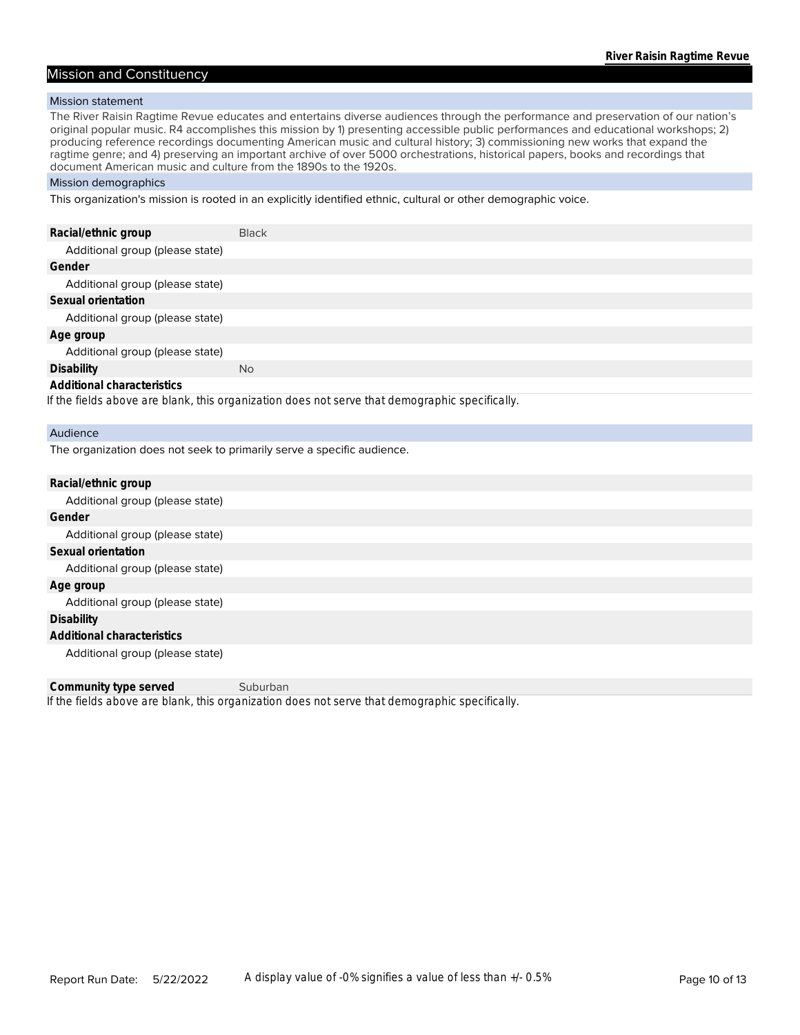#### Mission and Constituency

#### Mission statement

The River Raisin Ragtime Revue educates and entertains diverse audiences through the performance and preservation of our nation's original popular music. R4 accomplishes this mission by 1) presenting accessible public performances and educational workshops; 2) producing reference recordings documenting American music and cultural history; 3) commissioning new works that expand the ragtime genre; and 4) preserving an important archive of over 5000 orchestrations, historical papers, books and recordings that document American music and culture from the 1890s to the 1920s.

#### Mission demographics

This organization's mission is rooted in an explicitly identified ethnic, cultural or other demographic voice.

| Racial/ethnic group             | <b>Black</b>                                                                                   |
|---------------------------------|------------------------------------------------------------------------------------------------|
| Additional group (please state) |                                                                                                |
| Gender                          |                                                                                                |
| Additional group (please state) |                                                                                                |
| Sexual orientation              |                                                                                                |
| Additional group (please state) |                                                                                                |
| Age group                       |                                                                                                |
| Additional group (please state) |                                                                                                |
| Disability                      | No.                                                                                            |
| Additional characteristics      |                                                                                                |
|                                 | If the fields above are blank, this organization does not serve that demographic specifically. |
| Audience                        |                                                                                                |

The organization does not seek to primarily serve a specific audience.

| Racial/ethnic group             |
|---------------------------------|
| Additional group (please state) |
| Gender                          |
| Additional group (please state) |
| Sexual orientation              |
| Additional group (please state) |
| Age group                       |
| Additional group (please state) |
| Disability                      |
| Additional characteristics      |
| Additional group (please state) |
|                                 |

*If the fields above are blank, this organization does not serve that demographic specifically.* **Community type served** Suburban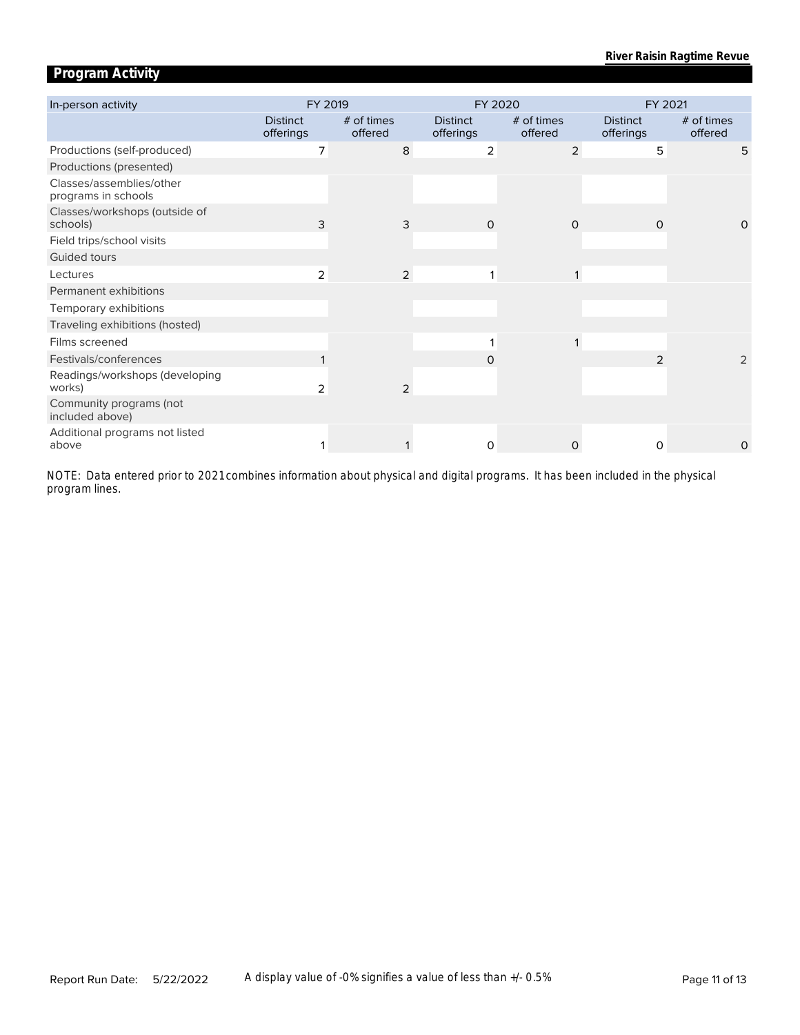# **Program Activity**

| In-person activity                              | FY 2019                      |                       |                              | FY 2020               |                              | FY 2021               |
|-------------------------------------------------|------------------------------|-----------------------|------------------------------|-----------------------|------------------------------|-----------------------|
|                                                 | <b>Distinct</b><br>offerings | # of times<br>offered | <b>Distinct</b><br>offerings | # of times<br>offered | <b>Distinct</b><br>offerings | # of times<br>offered |
| Productions (self-produced)                     | 7                            | 8                     | 2                            | $\overline{2}$        | 5                            | 5                     |
| Productions (presented)                         |                              |                       |                              |                       |                              |                       |
| Classes/assemblies/other<br>programs in schools |                              |                       |                              |                       |                              |                       |
| Classes/workshops (outside of<br>schools)       | 3                            | 3                     | $\Omega$                     | $\Omega$              | $\Omega$                     | $\Omega$              |
| Field trips/school visits                       |                              |                       |                              |                       |                              |                       |
| Guided tours                                    |                              |                       |                              |                       |                              |                       |
| Lectures                                        | 2                            | $\overline{2}$        |                              |                       |                              |                       |
| Permanent exhibitions                           |                              |                       |                              |                       |                              |                       |
| Temporary exhibitions                           |                              |                       |                              |                       |                              |                       |
| Traveling exhibitions (hosted)                  |                              |                       |                              |                       |                              |                       |
| Films screened                                  |                              |                       |                              |                       |                              |                       |
| Festivals/conferences                           |                              |                       | 0                            |                       | 2                            | $\overline{2}$        |
| Readings/workshops (developing<br>works)        | 2                            | $\overline{2}$        |                              |                       |                              |                       |
| Community programs (not<br>included above)      |                              |                       |                              |                       |                              |                       |
| Additional programs not listed<br>above         |                              |                       | $\Omega$                     | $\Omega$              | $\Omega$                     | O                     |

*program lines. NOTE: Data entered prior to 2021 combines information about physical and digital programs. It has been included in the physical*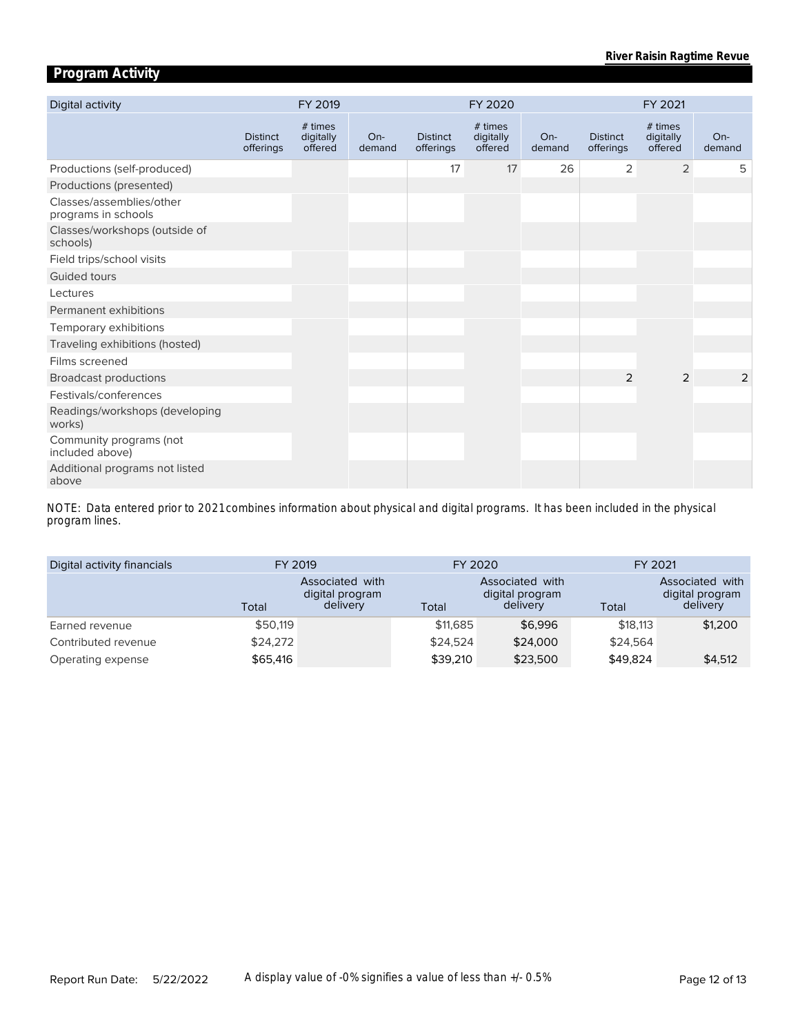# **Program Activity**

| Digital activity                                | FY 2019                      |                                 |                 | FY 2020                      |                                 |                 | FY 2021                      |                                 |                 |
|-------------------------------------------------|------------------------------|---------------------------------|-----------------|------------------------------|---------------------------------|-----------------|------------------------------|---------------------------------|-----------------|
|                                                 | <b>Distinct</b><br>offerings | # times<br>digitally<br>offered | $On-$<br>demand | <b>Distinct</b><br>offerings | # times<br>digitally<br>offered | $On-$<br>demand | <b>Distinct</b><br>offerings | # times<br>digitally<br>offered | $On-$<br>demand |
| Productions (self-produced)                     |                              |                                 |                 | 17                           | 17                              | 26              | 2                            | $\overline{2}$                  | 5               |
| Productions (presented)                         |                              |                                 |                 |                              |                                 |                 |                              |                                 |                 |
| Classes/assemblies/other<br>programs in schools |                              |                                 |                 |                              |                                 |                 |                              |                                 |                 |
| Classes/workshops (outside of<br>schools)       |                              |                                 |                 |                              |                                 |                 |                              |                                 |                 |
| Field trips/school visits                       |                              |                                 |                 |                              |                                 |                 |                              |                                 |                 |
| Guided tours                                    |                              |                                 |                 |                              |                                 |                 |                              |                                 |                 |
| Lectures                                        |                              |                                 |                 |                              |                                 |                 |                              |                                 |                 |
| Permanent exhibitions                           |                              |                                 |                 |                              |                                 |                 |                              |                                 |                 |
| Temporary exhibitions                           |                              |                                 |                 |                              |                                 |                 |                              |                                 |                 |
| Traveling exhibitions (hosted)                  |                              |                                 |                 |                              |                                 |                 |                              |                                 |                 |
| Films screened                                  |                              |                                 |                 |                              |                                 |                 |                              |                                 |                 |
| <b>Broadcast productions</b>                    |                              |                                 |                 |                              |                                 |                 | 2                            | $\overline{2}$                  | 2               |
| Festivals/conferences                           |                              |                                 |                 |                              |                                 |                 |                              |                                 |                 |
| Readings/workshops (developing<br>works)        |                              |                                 |                 |                              |                                 |                 |                              |                                 |                 |
| Community programs (not<br>included above)      |                              |                                 |                 |                              |                                 |                 |                              |                                 |                 |
| Additional programs not listed<br>above         |                              |                                 |                 |                              |                                 |                 |                              |                                 |                 |

*program lines. NOTE: Data entered prior to 2021 combines information about physical and digital programs. It has been included in the physical* 

| Digital activity financials | FY 2019  |                                                | FY 2020  |                                                | FY 2021  |                                                |  |
|-----------------------------|----------|------------------------------------------------|----------|------------------------------------------------|----------|------------------------------------------------|--|
|                             | Total    | Associated with<br>digital program<br>delivery | Total    | Associated with<br>digital program<br>delivery | Total    | Associated with<br>digital program<br>delivery |  |
| Earned revenue              | \$50,119 |                                                | \$11,685 | \$6,996                                        | \$18,113 | \$1,200                                        |  |
| Contributed revenue         | \$24,272 |                                                | \$24.524 | \$24,000                                       | \$24.564 |                                                |  |
| Operating expense           | \$65,416 |                                                | \$39,210 | \$23,500                                       | \$49,824 | \$4,512                                        |  |